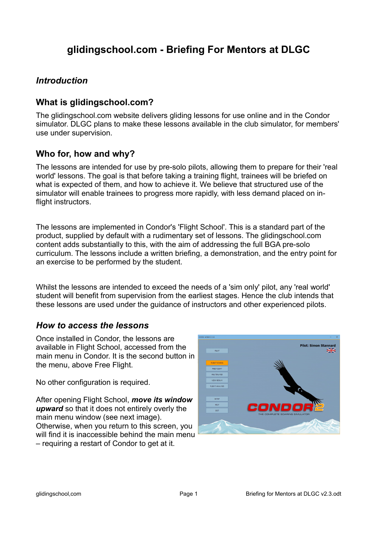# **glidingschool.com - Briefing For Mentors at DLGC**

#### *Introduction*

#### **What is glidingschool.com?**

The glidingschool.com website delivers gliding lessons for use online and in the Condor simulator. DLGC plans to make these lessons available in the club simulator, for members' use under supervision.

#### **Who for, how and why?**

The lessons are intended for use by pre-solo pilots, allowing them to prepare for their 'real world' lessons. The goal is that before taking a training flight, trainees will be briefed on what is expected of them, and how to achieve it. We believe that structured use of the simulator will enable trainees to progress more rapidly, with less demand placed on inflight instructors.

The lessons are implemented in Condor's 'Flight School'. This is a standard part of the product, supplied by default with a rudimentary set of lessons. The glidingschool.com content adds substantially to this, with the aim of addressing the full BGA pre-solo curriculum. The lessons include a written briefing, a demonstration, and the entry point for an exercise to be performed by the student.

Whilst the lessons are intended to exceed the needs of a 'sim only' pilot, any 'real world' student will benefit from supervision from the earliest stages. Hence the club intends that these lessons are used under the guidance of instructors and other experienced pilots.

#### *How to access the lessons*

Once installed in Condor, the lessons are available in Flight School, accessed from the main menu in Condor. It is the second button in the menu, above Free Flight.

No other configuration is required.

After opening Flight School, *move its window upward* so that it does not entirely overly the main menu window (see next image). Otherwise, when you return to this screen, you will find it is inaccessible behind the main menu – requiring a restart of Condor to get at it.

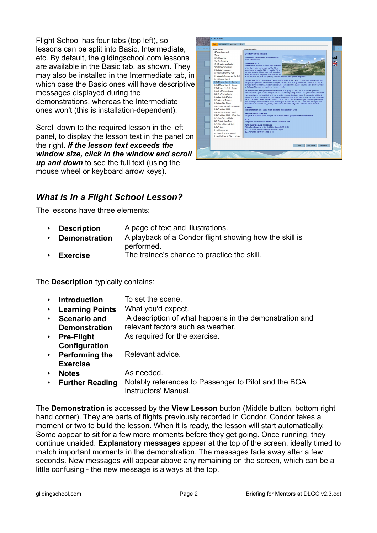Flight School has four tabs (top left), so lessons can be split into Basic, Intermediate, etc. By default, the glidingschool.com lessons are available in the Basic tab, as shown. They may also be installed in the Intermediate tab, in which case the Basic ones will have descriptive messages displayed during the demonstrations, whereas the Intermediate ones won't (this is installation-dependent).

Scroll down to the required lesson in the left panel, to display the lesson text in the panel on the right. *If the lesson text exceeds the window size, click in the window and scroll up and down* to see the full text (using the mouse wheel or keyboard arrow keys).



# *What is in a Flight School Lesson?*

The lessons have three elements:

|  | <b>Description</b> | A page of text and illustrations. |
|--|--------------------|-----------------------------------|
|--|--------------------|-----------------------------------|

- **Demonstration** A playback of a Condor flight showing how the skill is performed.
- **Exercise** The trainee's chance to practice the skill.

The **Description** typically contains:

- **Introduction** To set the scene.
- **Learning Points** What you'd expect.
- **Scenario and Demonstration** A description of what happens in the demonstration and relevant factors such as weather.
- **Pre-Flight**  As required for the exercise.
- **Configuration** • **Performing the Exercise** Relevant advice.
- **Notes** As needed.
- **Further Reading** Notably references to Passenger to Pilot and the BGA Instructors' Manual.

The **Demonstration** is accessed by the **View Lesson** button (Middle button, bottom right hand corner). They are parts of flights previously recorded in Condor. Condor takes a moment or two to build the lesson. When it is ready, the lesson will start automatically. Some appear to sit for a few more moments before they get going. Once running, they continue unaided. **Explanatory messages** appear at the top of the screen, ideally timed to match important moments in the demonstration. The messages fade away after a few seconds. New messages will appear above any remaining on the screen, which can be a little confusing - the new message is always at the top.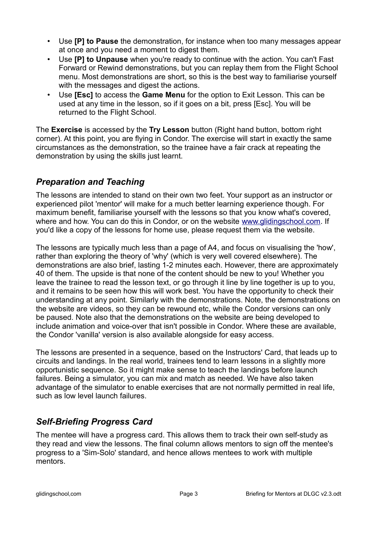- Use **[P] to Pause** the demonstration, for instance when too many messages appear at once and you need a moment to digest them.
- Use **[P] to Unpause** when you're ready to continue with the action. You can't Fast Forward or Rewind demonstrations, but you can replay them from the Flight School menu. Most demonstrations are short, so this is the best way to familiarise yourself with the messages and digest the actions.
- Use **[Esc]** to access the **Game Menu** for the option to Exit Lesson. This can be used at any time in the lesson, so if it goes on a bit, press [Esc]. You will be returned to the Flight School.

The **Exercise** is accessed by the **Try Lesson** button (Right hand button, bottom right corner). At this point, you are flying in Condor. The exercise will start in exactly the same circumstances as the demonstration, so the trainee have a fair crack at repeating the demonstration by using the skills just learnt.

# *Preparation and Teaching*

The lessons are intended to stand on their own two feet. Your support as an instructor or experienced pilot 'mentor' will make for a much better learning experience though. For maximum benefit, familiarise yourself with the lessons so that you know what's covered, where and how. You can do this in Condor, or on the website [www.glidingschool.com.](http://www.glidingschool.com/) If you'd like a copy of the lessons for home use, please request them via the website.

The lessons are typically much less than a page of A4, and focus on visualising the 'how', rather than exploring the theory of 'why' (which is very well covered elsewhere). The demonstrations are also brief, lasting 1-2 minutes each. However, there are approximately 40 of them. The upside is that none of the content should be new to you! Whether you leave the trainee to read the lesson text, or go through it line by line together is up to you, and it remains to be seen how this will work best. You have the opportunity to check their understanding at any point. Similarly with the demonstrations. Note, the demonstrations on the website are videos, so they can be rewound etc, while the Condor versions can only be paused. Note also that the demonstrations on the website are being developed to include animation and voice-over that isn't possible in Condor. Where these are available, the Condor 'vanilla' version is also available alongside for easy access.

The lessons are presented in a sequence, based on the Instructors' Card, that leads up to circuits and landings. In the real world, trainees tend to learn lessons in a slightly more opportunistic sequence. So it might make sense to teach the landings before launch failures. Being a simulator, you can mix and match as needed. We have also taken advantage of the simulator to enable exercises that are not normally permitted in real life, such as low level launch failures.

# *Self-Briefing Progress Card*

The mentee will have a progress card. This allows them to track their own self-study as they read and view the lessons. The final column allows mentors to sign off the mentee's progress to a 'Sim-Solo' standard, and hence allows mentees to work with multiple mentors.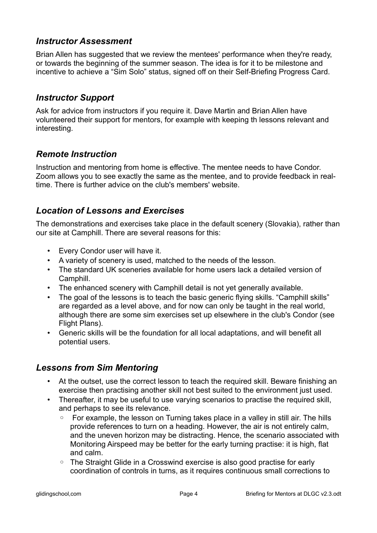#### *Instructor Assessment*

Brian Allen has suggested that we review the mentees' performance when they're ready, or towards the beginning of the summer season. The idea is for it to be milestone and incentive to achieve a "Sim Solo" status, signed off on their Self-Briefing Progress Card.

### *Instructor Support*

Ask for advice from instructors if you require it. Dave Martin and Brian Allen have volunteered their support for mentors, for example with keeping th lessons relevant and interesting.

# *Remote Instruction*

Instruction and mentoring from home is effective. The mentee needs to have Condor. Zoom allows you to see exactly the same as the mentee, and to provide feedback in realtime. There is further advice on the club's members' website.

### *Location of Lessons and Exercises*

The demonstrations and exercises take place in the default scenery (Slovakia), rather than our site at Camphill. There are several reasons for this:

- Every Condor user will have it.
- A variety of scenery is used, matched to the needs of the lesson.
- The standard UK sceneries available for home users lack a detailed version of Camphill.
- The enhanced scenery with Camphill detail is not yet generally available.
- The goal of the lessons is to teach the basic generic flying skills. "Camphill skills" are regarded as a level above, and for now can only be taught in the real world, although there are some sim exercises set up elsewhere in the club's Condor (see Flight Plans).
- Generic skills will be the foundation for all local adaptations, and will benefit all potential users.

#### *Lessons from Sim Mentoring*

- At the outset, use the correct lesson to teach the required skill. Beware finishing an exercise then practising another skill not best suited to the environment just used.
- Thereafter, it may be useful to use varying scenarios to practise the required skill, and perhaps to see its relevance.
	- For example, the lesson on Turning takes place in a valley in still air. The hills provide references to turn on a heading. However, the air is not entirely calm, and the uneven horizon may be distracting. Hence, the scenario associated with Monitoring Airspeed may be better for the early turning practise: it is high, flat and calm.
	- The Straight Glide in a Crosswind exercise is also good practise for early coordination of controls in turns, as it requires continuous small corrections to